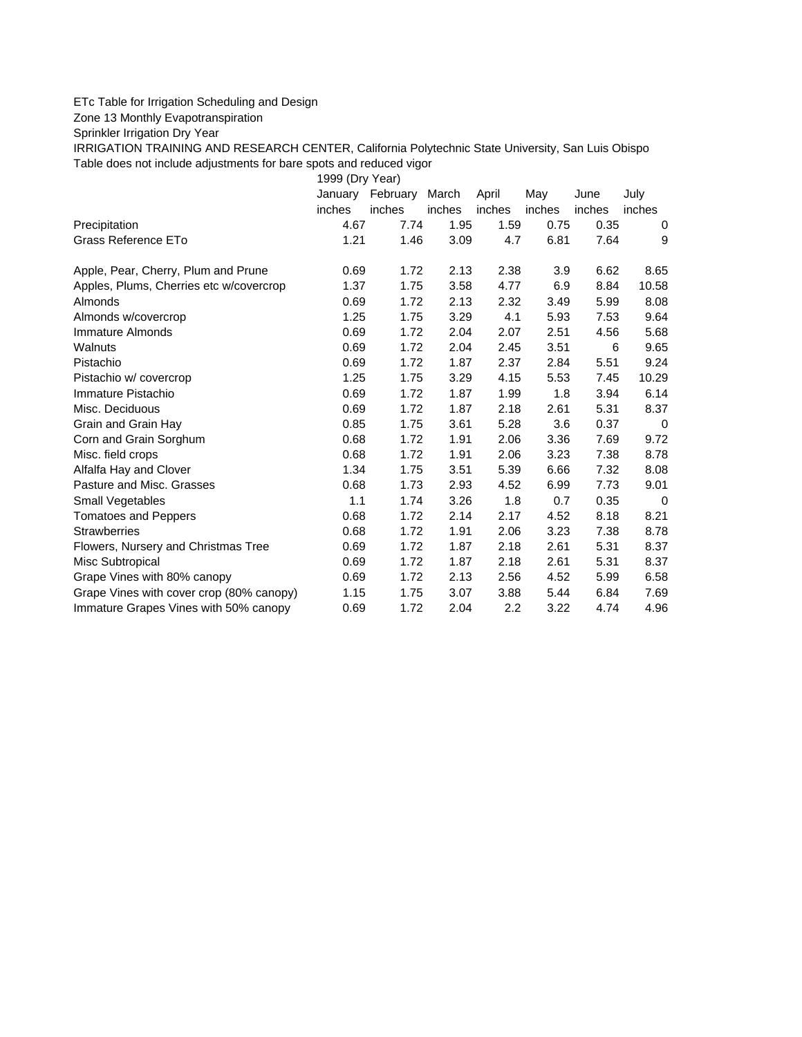## ETc Table for Irrigation Scheduling and Design

Zone 13 Monthly Evapotranspiration

Sprinkler Irrigation Dry Year

IRRIGATION TRAINING AND RESEARCH CENTER, California Polytechnic State University, San Luis Obispo Table does not include adjustments for bare spots and reduced vigor

1999 (Dry Year)

|                                          | January | February | March  | April  | May    | June   | July     |
|------------------------------------------|---------|----------|--------|--------|--------|--------|----------|
|                                          | inches  | inches   | inches | inches | inches | inches | inches   |
| Precipitation                            | 4.67    | 7.74     | 1.95   | 1.59   | 0.75   | 0.35   | 0        |
| Grass Reference ETo                      | 1.21    | 1.46     | 3.09   | 4.7    | 6.81   | 7.64   | 9        |
| Apple, Pear, Cherry, Plum and Prune      | 0.69    | 1.72     | 2.13   | 2.38   | 3.9    | 6.62   | 8.65     |
| Apples, Plums, Cherries etc w/covercrop  | 1.37    | 1.75     | 3.58   | 4.77   | 6.9    | 8.84   | 10.58    |
| Almonds                                  | 0.69    | 1.72     | 2.13   | 2.32   | 3.49   | 5.99   | 8.08     |
| Almonds w/covercrop                      | 1.25    | 1.75     | 3.29   | 4.1    | 5.93   | 7.53   | 9.64     |
| Immature Almonds                         | 0.69    | 1.72     | 2.04   | 2.07   | 2.51   | 4.56   | 5.68     |
| Walnuts                                  | 0.69    | 1.72     | 2.04   | 2.45   | 3.51   | 6      | 9.65     |
| Pistachio                                | 0.69    | 1.72     | 1.87   | 2.37   | 2.84   | 5.51   | 9.24     |
| Pistachio w/ covercrop                   | 1.25    | 1.75     | 3.29   | 4.15   | 5.53   | 7.45   | 10.29    |
| Immature Pistachio                       | 0.69    | 1.72     | 1.87   | 1.99   | 1.8    | 3.94   | 6.14     |
| Misc. Deciduous                          | 0.69    | 1.72     | 1.87   | 2.18   | 2.61   | 5.31   | 8.37     |
| Grain and Grain Hay                      | 0.85    | 1.75     | 3.61   | 5.28   | 3.6    | 0.37   | 0        |
| Corn and Grain Sorghum                   | 0.68    | 1.72     | 1.91   | 2.06   | 3.36   | 7.69   | 9.72     |
| Misc. field crops                        | 0.68    | 1.72     | 1.91   | 2.06   | 3.23   | 7.38   | 8.78     |
| Alfalfa Hay and Clover                   | 1.34    | 1.75     | 3.51   | 5.39   | 6.66   | 7.32   | 8.08     |
| Pasture and Misc. Grasses                | 0.68    | 1.73     | 2.93   | 4.52   | 6.99   | 7.73   | 9.01     |
| Small Vegetables                         | 1.1     | 1.74     | 3.26   | 1.8    | 0.7    | 0.35   | $\Omega$ |
| <b>Tomatoes and Peppers</b>              | 0.68    | 1.72     | 2.14   | 2.17   | 4.52   | 8.18   | 8.21     |
| <b>Strawberries</b>                      | 0.68    | 1.72     | 1.91   | 2.06   | 3.23   | 7.38   | 8.78     |
| Flowers, Nursery and Christmas Tree      | 0.69    | 1.72     | 1.87   | 2.18   | 2.61   | 5.31   | 8.37     |
| Misc Subtropical                         | 0.69    | 1.72     | 1.87   | 2.18   | 2.61   | 5.31   | 8.37     |
| Grape Vines with 80% canopy              | 0.69    | 1.72     | 2.13   | 2.56   | 4.52   | 5.99   | 6.58     |
| Grape Vines with cover crop (80% canopy) | 1.15    | 1.75     | 3.07   | 3.88   | 5.44   | 6.84   | 7.69     |
| Immature Grapes Vines with 50% canopy    | 0.69    | 1.72     | 2.04   | 2.2    | 3.22   | 4.74   | 4.96     |